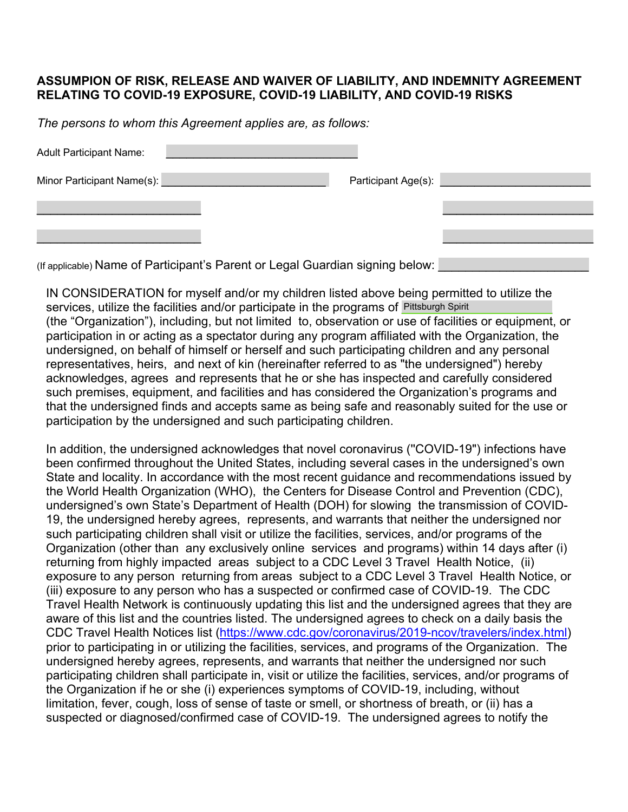## **ASSUMPION OF RISK, RELEASE AND WAIVER OF LIABILITY, AND INDEMNITY AGREEMENT RELATING TO COVID-19 EXPOSURE, COVID-19 LIABILITY, AND COVID-19 RISKS**

*The persons to whom this Agreement applies are, as follows:* 

| <b>Adult Participant Name:</b> |                                          |  |
|--------------------------------|------------------------------------------|--|
| Minor Participant Name(s):     | Participant Age(s): National Participant |  |
|                                |                                          |  |
|                                |                                          |  |

(If applicable) Name of Participant's Parent or Legal Guardian signing below:

IN CONSIDERATION for myself and/or my children listed above being permitted to utilize the services, utilize the facilities and/or participate in the programs of Pittsburgh Spirit (the "Organization"), including, but not limited to, observation or use of facilities or equipment, or participation in or acting as a spectator during any program affiliated with the Organization, the undersigned, on behalf of himself or herself and such participating children and any personal representatives, heirs, and next of kin (hereinafter referred to as "the undersigned") hereby acknowledges, agrees and represents that he or she has inspected and carefully considered such premises, equipment, and facilities and has considered the Organization's programs and that the undersigned finds and accepts same as being safe and reasonably suited for the use or participation by the undersigned and such participating children.

In addition, the undersigned acknowledges that novel coronavirus (''COVID-19") infections have been confirmed throughout the United States, including several cases in the undersigned's own State and locality. In accordance with the most recent guidance and recommendations issued by the World Health Organization (WHO), the Centers for Disease Control and Prevention (CDC), undersigned's own State's Department of Health (DOH) for slowing the transmission of COVID-19, the undersigned hereby agrees, represents, and warrants that neither the undersigned nor such participating children shall visit or utilize the facilities, services, and/or programs of the Organization (other than any exclusively online services and programs) within 14 days after (i) returning from highly impacted areas subject to a CDC Level 3 Travel Health Notice, (ii) exposure to any person returning from areas subject to a CDC Level 3 Travel Health Notice, or (iii) exposure to any person who has a suspected or confirmed case of COVID-19. The CDC Travel Health Network is continuously updating this list and the undersigned agrees that they are aware of this list and the countries listed. The undersigned agrees to check on a daily basis the CDC Travel Health Notices list (https://www.cdc.gov/coronavirus/2019-ncov/travelers/index.html) prior to participating in or utilizing the facilities, services, and programs of the Organization. The undersigned hereby agrees, represents, and warrants that neither the undersigned nor such participating children shall participate in, visit or utilize the facilities, services, and/or programs of the Organization if he or she (i) experiences symptoms of COVID-19, including, without limitation, fever, cough, loss of sense of taste or smell, or shortness of breath, or (ii) has a suspected or diagnosed/confirmed case of COVID-19. The undersigned agrees to notify the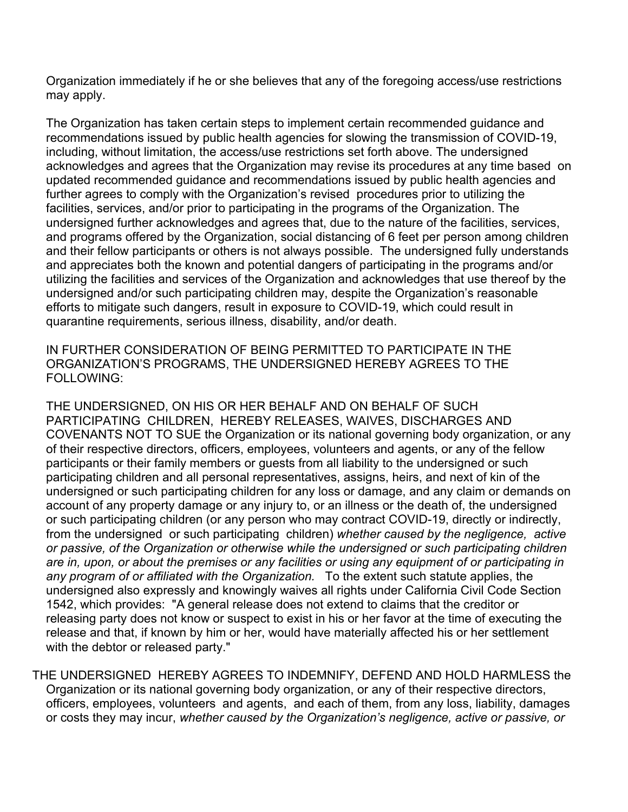Organization immediately if he or she believes that any of the foregoing access/use restrictions may apply.

The Organization has taken certain steps to implement certain recommended guidance and recommendations issued by public health agencies for slowing the transmission of COVID-19, including, without limitation, the access/use restrictions set forth above. The undersigned acknowledges and agrees that the Organization may revise its procedures at any time based on updated recommended guidance and recommendations issued by public health agencies and further agrees to comply with the Organization's revised procedures prior to utilizing the facilities, services, and/or prior to participating in the programs of the Organization. The undersigned further acknowledges and agrees that, due to the nature of the facilities, services, and programs offered by the Organization, social distancing of 6 feet per person among children and their fellow participants or others is not always possible. The undersigned fully understands and appreciates both the known and potential dangers of participating in the programs and/or utilizing the facilities and services of the Organization and acknowledges that use thereof by the undersigned and/or such participating children may, despite the Organization's reasonable efforts to mitigate such dangers, result in exposure to COVID-19, which could result in quarantine requirements, serious illness, disability, and/or death.

IN FURTHER CONSIDERATION OF BEING PERMITTED TO PARTICIPATE IN THE ORGANIZATION'S PROGRAMS, THE UNDERSIGNED HEREBY AGREES TO THE FOLLOWING:

THE UNDERSIGNED, ON HIS OR HER BEHALF AND ON BEHALF OF SUCH PARTICIPATING CHILDREN, HEREBY RELEASES, WAIVES, DISCHARGES AND COVENANTS NOT TO SUE the Organization or its national governing body organization, or any of their respective directors, officers, employees, volunteers and agents, or any of the fellow participants or their family members or guests from all liability to the undersigned or such participating children and all personal representatives, assigns, heirs, and next of kin of the undersigned or such participating children for any loss or damage, and any claim or demands on account of any property damage or any injury to, or an illness or the death of, the undersigned or such participating children (or any person who may contract COVID-19, directly or indirectly, from the undersigned or such participating children) *whether caused by the negligence, active or passive, of the Organization or otherwise while the undersigned or such participating children are in, upon, or about the premises or any facilities or using any equipment of or participating in any program of or affiliated with the Organization.* To the extent such statute applies, the undersigned also expressly and knowingly waives all rights under California Civil Code Section 1542, which provides: "A general release does not extend to claims that the creditor or releasing party does not know or suspect to exist in his or her favor at the time of executing the release and that, if known by him or her, would have materially affected his or her settlement with the debtor or released party."

THE UNDERSIGNED HEREBY AGREES TO INDEMNIFY, DEFEND AND HOLD HARMLESS the Organization or its national governing body organization, or any of their respective directors, officers, employees, volunteers and agents, and each of them, from any loss, liability, damages or costs they may incur, *whether caused by the Organization's negligence, active or passive, or*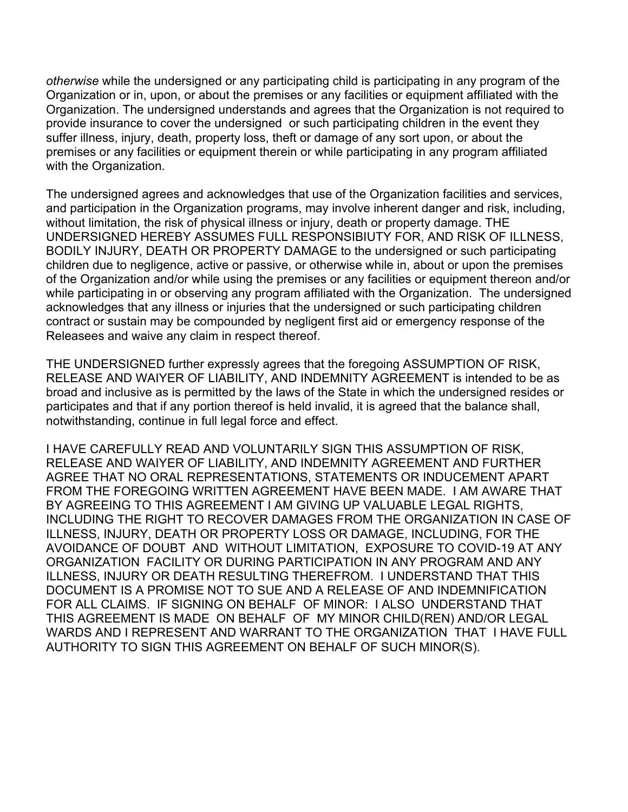*otherwise* while the undersigned or any participating child is participating in any program of the Organization or in, upon, or about the premises or any facilities or equipment affiliated with the Organization. The undersigned understands and agrees that the Organization is not required to provide insurance to cover the undersigned or such participating children in the event they suffer illness, injury, death, property loss, theft or damage of any sort upon, or about the premises or any facilities or equipment therein or while participating in any program affiliated with the Organization.

The undersigned agrees and acknowledges that use of the Organization facilities and services, and participation in the Organization programs, may involve inherent danger and risk, including, without limitation, the risk of physical illness or injury, death or property damage. THE UNDERSIGNED HEREBY ASSUMES FULL RESPONSIBIUTY FOR, AND RISK OF ILLNESS, BODILY INJURY, DEATH OR PROPERTY DAMAGE to the undersigned or such participating children due to negligence, active or passive, or otherwise while in, about or upon the premises of the Organization and/or while using the premises or any facilities or equipment thereon and/or while participating in or observing any program affiliated with the Organization. The undersigned acknowledges that any illness or injuries that the undersigned or such participating children contract or sustain may be compounded by negligent first aid or emergency response of the Releasees and waive any claim in respect thereof.

THE UNDERSIGNED further expressly agrees that the foregoing ASSUMPTION OF RISK, RELEASE AND WAIYER OF LIABILITY, AND INDEMNITY AGREEMENT is intended to be as broad and inclusive as is permitted by the laws of the State in which the undersigned resides or participates and that if any portion thereof is held invalid, it is agreed that the balance shall, notwithstanding, continue in full legal force and effect.

I HAVE CAREFULLY READ AND VOLUNTARILY SIGN THIS ASSUMPTION OF RISK, RELEASE AND WAIYER OF LIABILITY, AND INDEMNITY AGREEMENT AND FURTHER AGREE THAT NO ORAL REPRESENTATIONS, STATEMENTS OR INDUCEMENT APART FROM THE FOREGOING WRITTEN AGREEMENT HAVE BEEN MADE. I AM AWARE THAT BY AGREEING TO THIS AGREEMENT I AM GIVING UP VALUABLE LEGAL RIGHTS, INCLUDING THE RIGHT TO RECOVER DAMAGES FROM THE ORGANIZATION IN CASE OF ILLNESS, INJURY, DEATH OR PROPERTY LOSS OR DAMAGE, INCLUDING, FOR THE AVOIDANCE OF DOUBT AND WITHOUT LIMITATION, EXPOSURE TO COVID-19 AT ANY ORGANIZATION FACILITY OR DURING PARTICIPATION IN ANY PROGRAM AND ANY ILLNESS, INJURY OR DEATH RESULTING THEREFROM. I UNDERSTAND THAT THIS DOCUMENT IS A PROMISE NOT TO SUE AND A RELEASE OF AND INDEMNIFICATION FOR ALL CLAIMS. IF SIGNING ON BEHALF OF MINOR: I ALSO UNDERSTAND THAT THIS AGREEMENT IS MADE ON BEHALF OF MY MINOR CHILD(REN) AND/OR LEGAL WARDS AND I REPRESENT AND WARRANT TO THE ORGANIZATION THAT I HAVE FULL AUTHORITY TO SIGN THIS AGREEMENT ON BEHALF OF SUCH MINOR(S).